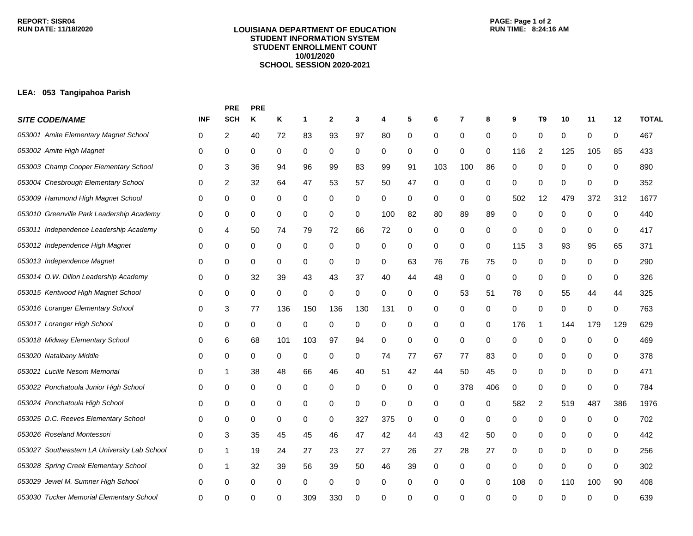## **LOUISIANA DEPARTMENT OF EDUCATION STUDENT INFORMATION SYSTEM STUDENT ENROLLMENT COUNT 10/01/2020 SCHOOL SESSION 2020-2021**

## **LEA: 053 Tangipahoa Parish**

|                                              |            | <b>PRE</b>     | <b>PRE</b> |     |     |              |     |     |    |     |          |          |          |                |     |             |              |              |
|----------------------------------------------|------------|----------------|------------|-----|-----|--------------|-----|-----|----|-----|----------|----------|----------|----------------|-----|-------------|--------------|--------------|
| <b>SITE CODE/NAME</b>                        | <b>INF</b> | <b>SCH</b>     | Κ          | Κ   | 1   | $\mathbf{2}$ | 3   | 4   | 5  | 6   | 7        | 8        | 9        | T <sub>9</sub> | 10  | 11          | 12           | <b>TOTAL</b> |
| 053001 Amite Elementary Magnet School        | 0          | 2              | 40         | 72  | 83  | 93           | 97  | 80  | 0  | 0   | 0        | 0        | 0        | 0              | 0   | 0           | 0            | 467          |
| 053002 Amite High Magnet                     | 0          | 0              | 0          | 0   | 0   | 0            | 0   | 0   | 0  | 0   | 0        | 0        | 116      | 2              | 125 | 105         | 85           | 433          |
| 053003 Champ Cooper Elementary School        | 0          | 3              | 36         | 94  | 96  | 99           | 83  | 99  | 91 | 103 | 100      | 86       | 0        | 0              | 0   | $\mathbf 0$ | 0            | 890          |
| 053004 Chesbrough Elementary School          | 0          | $\overline{c}$ | 32         | 64  | 47  | 53           | 57  | 50  | 47 | 0   | 0        | 0        | 0        | 0              | 0   | 0           | 0            | 352          |
| 053009 Hammond High Magnet School            | 0          | 0              | 0          | 0   | 0   | 0            | 0   | 0   | 0  | 0   | 0        | 0        | 502      | 12             | 479 | 372         | 312          | 1677         |
| 053010 Greenville Park Leadership Academy    | 0          | 0              | 0          | 0   | 0   | 0            | 0   | 100 | 82 | 80  | 89       | 89       | 0        | 0              | 0   | 0           | 0            | 440          |
| 053011 Independence Leadership Academy       | 0          | 4              | 50         | 74  | 79  | 72           | 66  | 72  | 0  | 0   | 0        | 0        | 0        | 0              | 0   | 0           | 0            | 417          |
| 053012 Independence High Magnet              | 0          | 0              | 0          | 0   | 0   | 0            | 0   | 0   | 0  | 0   | 0        | 0        | 115      | 3              | 93  | 95          | 65           | 371          |
| 053013 Independence Magnet                   | 0          | 0              | 0          | 0   | 0   | 0            | 0   | 0   | 63 | 76  | 76       | 75       | 0        | 0              | 0   | 0           | 0            | 290          |
| 053014 O.W. Dillon Leadership Academy        | 0          | 0              | 32         | 39  | 43  | 43           | 37  | 40  | 44 | 48  | 0        | 0        | 0        | 0              | 0   | 0           | 0            | 326          |
| 053015 Kentwood High Magnet School           | 0          | 0              | 0          | 0   | 0   | 0            | 0   | 0   | 0  | 0   | 53       | 51       | 78       | 0              | 55  | 44          | 44           | 325          |
| 053016 Loranger Elementary School            | 0          | 3              | 77         | 136 | 150 | 136          | 130 | 131 | 0  | 0   | 0        | 0        | 0        | 0              | 0   | 0           | 0            | 763          |
| 053017 Loranger High School                  | 0          | 0              | 0          | 0   | 0   | 0            | 0   | 0   | 0  | 0   | 0        | 0        | 176      | -1             | 144 | 179         | 129          | 629          |
| 053018 Midway Elementary School              | 0          | 6              | 68         | 101 | 103 | 97           | 94  | 0   | 0  | 0   | 0        | 0        | 0        | 0              | 0   | 0           | 0            | 469          |
| 053020 Natalbany Middle                      | 0          | 0              | 0          | 0   | 0   | 0            | 0   | 74  | 77 | 67  | 77       | 83       | 0        | 0              | 0   | 0           | 0            | 378          |
| 053021 Lucille Nesom Memorial                | 0          | 1              | 38         | 48  | 66  | 46           | 40  | 51  | 42 | 44  | 50       | 45       | 0        | 0              | 0   | 0           | 0            | 471          |
| 053022 Ponchatoula Junior High School        | 0          | 0              | 0          | 0   | 0   | 0            | 0   | 0   | 0  | 0   | 378      | 406      | 0        | 0              | 0   | 0           | 0            | 784          |
| 053024 Ponchatoula High School               | 0          | 0              | 0          | 0   | 0   | 0            | 0   | 0   | 0  | 0   | 0        | 0        | 582      | 2              | 519 | 487         | 386          | 1976         |
| 053025 D.C. Reeves Elementary School         | 0          | 0              | 0          | 0   | 0   | 0            | 327 | 375 | 0  | 0   | 0        | 0        | 0        | 0              | 0   | 0           | 0            | 702          |
| 053026 Roseland Montessori                   | 0          | 3              | 35         | 45  | 45  | 46           | 47  | 42  | 44 | 43  | 42       | 50       | 0        | 0              | 0   | 0           | 0            | 442          |
| 053027 Southeastern LA University Lab School | 0          | 1              | 19         | 24  | 27  | 23           | 27  | 27  | 26 | 27  | 28       | 27       | 0        | 0              | 0   | 0           | 0            | 256          |
| 053028 Spring Creek Elementary School        | 0          | 1              | 32         | 39  | 56  | 39           | 50  | 46  | 39 | 0   | 0        | 0        | 0        | 0              | 0   | 0           | 0            | 302          |
| 053029 Jewel M. Sumner High School           | 0          | 0              | 0          | 0   | 0   | 0            | 0   | 0   | 0  | 0   | 0        | 0        | 108      | 0              | 110 | 100         | 90           | 408          |
| 053030 Tucker Memorial Elementary School     | 0          | ∩              | ∩          |     | 309 | 330          | O   | 0   | 0  | O   | $\Omega$ | $\Omega$ | $\Omega$ | $\Omega$       | U   | ∩           | <sup>0</sup> | 639          |